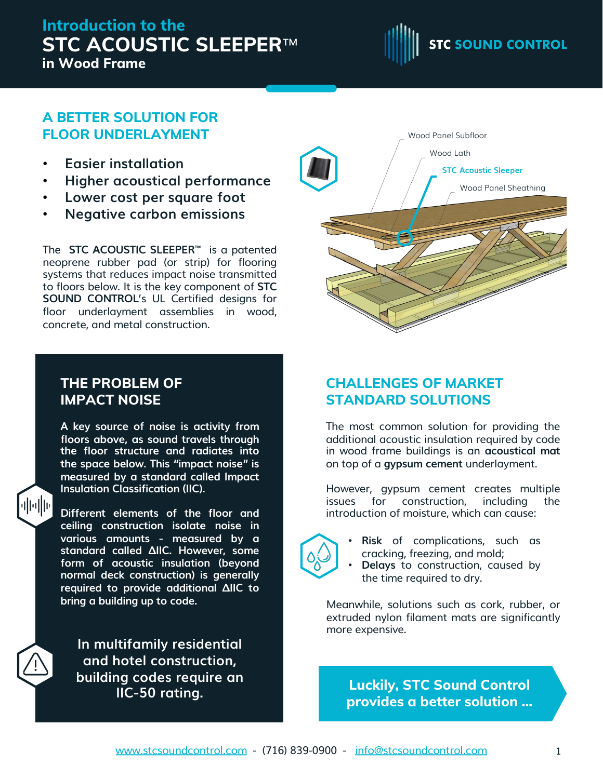# **Introduction to the STC ACOUSTIC SLEEPER**™ **in Wood Frame**



## **A BETTER SOLUTION FOR FLOOR UNDERLAYMENT**

- **Easier installation**
- **Higher acoustical performance**
- **Lower cost per square foot**
- **Negative carbon emissions**

The **STC ACOUSTIC SLEEPER™** is a patented neoprene rubber pad (or strip) for flooring systems that reduces impact noise transmitted to floors below. It is the key component of **STC SOUND CONTROL**'s UL Certified designs for floor underlayment assemblies in wood, concrete, and metal construction.

### **THE PROBLEM OF IMPACT NOISE**

业业

**A key source of noise is activity from floors above, as sound travels through the floor structure and radiates into the space below. This "impact noise" is measured by a standard called Impact Insulation Classification (IIC).**

**Different elements of the floor and ceiling construction isolate noise in various amounts - measured by a standard called ΔIIC. However, some form of acoustic insulation (beyond normal deck construction) is generally required to provide additional ΔIIC to bring a building up to code.**

**In multifamily residential and hotel construction, building codes require an IIC-50 rating.**



## **CHALLENGES OF MARKET STANDARD SOLUTIONS**

The most common solution for providing the additional acoustic insulation required by code in wood frame buildings is an **acoustical mat** on top of a **gypsum cement** underlayment.

However, gypsum cement creates multiple issues for construction, including the introduction of moisture, which can cause:



- **Risk** of complications, such as cracking, freezing, and mold; • **Delays** to construction, caused by
- the time required to dry.

Meanwhile, solutions such as cork, rubber, or extruded nylon filament mats are significantly more expensive.

**Luckily, STC Sound Control provides a better solution ...**